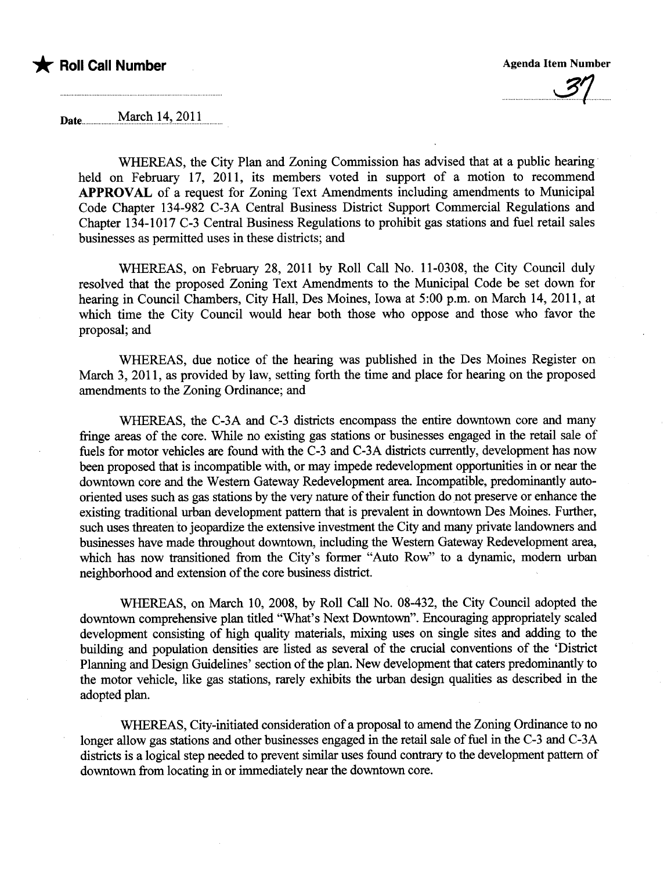

 $\cup$ 

Date..................uM~~l.u.i..4?..~Q.ii.u

WHEREAS, the City Plan and Zoning Commission has advised that at a public hearing held on February 17, 2011, its members voted in support of a motion to recommend APPROVAL of a request for Zoning Text Amendments including amendments to Muncipal Code Chapter 134-982 C-3A Central Business District Support Commercial Regulations and Chapter 134-1017 C-3 Central Business Regulations to prohibit gas stations and fuel retail sales businesses as permitted uses in these districts; and

WHEREAS, on February 28, 2011 by Roll Call No. 11-0308, the City Council duly resolved that the proposed Zoning Text Amendments to the Muncipal Code be set down for hearing in Council Chambers, City Hall, Des Moines, Iowa at 5:00 p.m. on March 14, 2011, at which time the City Council would hear both those who oppose and those who favor the proposal; and

WHEREAS, due notice of the hearing was published in the Des Moines Register on March 3, 2011, as provided by law, setting forth the time and place for hearing on the proposed amendments to the Zoning Ordinance; and

WHEREAS, the C-3A and C-3 districts encompass the entire downtown core and many fringe areas of the core. While no existing gas stations or businesses engaged in the retail sale of fuels for motor vehicles are found with the C-3 and C-3A districts currently, development has now been proposed that is incompatible with, or may impede redevelopment opportunities in or near the downtown core and the Western Gateway Redevelopment area. Incompatible, predominantly autooriented uses such as gas stations by the very nature of their function do not preserve or enhance the existing traditional urban development pattern that is prevalent in downtown Des Moines. Further, such uses threaten to jeopardize the extensive investment the City and many private landowners and businesses have made throughout downtown, including the Western Gateway Redevelopment area, which has now transitioned from the City's former "Auto Row" to a dynamic, modern urban neighborhood and extension of the core business district.

WHREAS, on March 10, 2008, by Roll Call No. 08-432, the City Council adopted the downtown comprehensive plan titled "What's Next Downtown". Encouraging appropriately scaled development consisting of high quality materials, mixing uses on single sites and adding to the building and population densities are listed as several of the crucial conventions of the 'District Planning and Design Guidelines' section of the plan. New development that caters predominantly to the motor vehicle, like gas stations, rarely exhbits the urban design quaities as described in the adopted plan.

WHREAS, City-intiated consideration of a proposal to amend the Zoning Ordinance to no longer allow gas stations and other businesses engaged in the retail sale of fuel in the C-3 and C-3A districts is a logical step needed to prevent similar uses found contrary to the development pattern of downtown from locating in or immediately near the downtown core.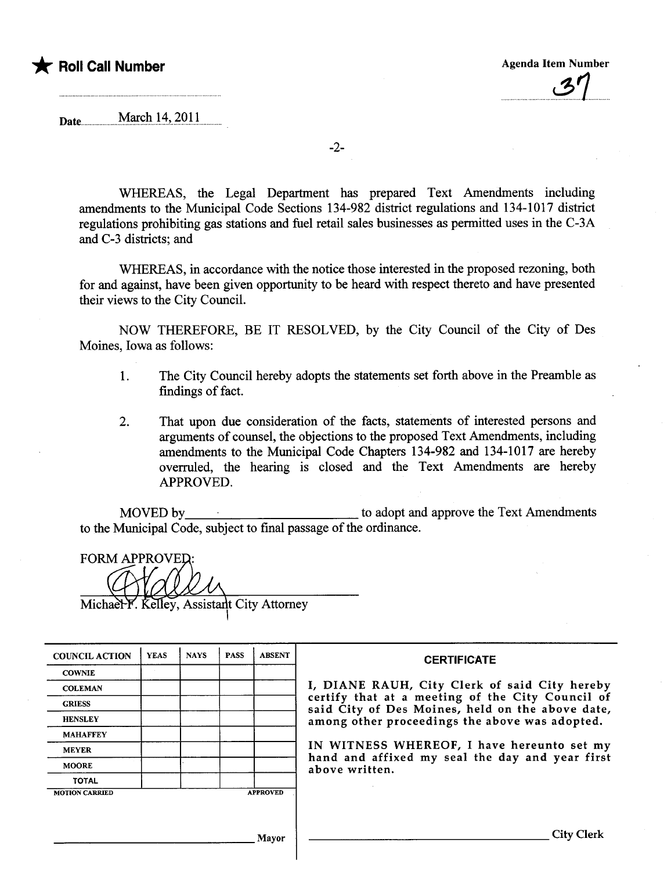### \* Poll Call Number Agenda Item Number Agenda Item Number

Date.uuuu...u..u....M~~n...4?u7.QJ.L..u.uuu

-2-

WHEREAS, the Legal Deparment has prepared Text Amendments including amendments to the Municipal Code Sections 134-982 district regulations and 134-1017 district regulations prohibiting gas stations and fuel retail sales businesses as permitted uses in the C-3A and C-3 districts; and

WHEREAS, in accordance with the notice those interested in the proposed rezoning, both for and against, have been given opportunity to be heard with respect thereto and have presented their views to the City CounciL.

NOW THEREFORE, BE IT RESOLVED, by the City Council of the City of Des Moines, Iowa as follows:

- 1. The City Council hereby adopts the statements set forth above in the Preamble as findings of fact.
- 2. That upon due consideration of the facts, statements of interested persons and arguments of counsel, the objections to the proposed Text Amendments, including amendments to the Municipal Code Chapters 134-982 and 134-1017 are hereby overruled, the hearing is closed and the Text Amendments are hereby APPROVED.

MOVED by to adopt and approve the Text Amendments to the Municipal Code, subject to final passage of the ordinance.

**FORM APPROVED:** 

I

Michael F. Kelley, Assistant City Attorney

| <b>COUNCIL ACTION</b> | <b>YEAS</b> | <b>NAYS</b> | <b>PASS</b> | <b>ABSENT</b>   | <b>CERTIFICATE</b>                                                                                                                                     |  |  |  |  |  |  |
|-----------------------|-------------|-------------|-------------|-----------------|--------------------------------------------------------------------------------------------------------------------------------------------------------|--|--|--|--|--|--|
| <b>COWNIE</b>         |             |             |             |                 |                                                                                                                                                        |  |  |  |  |  |  |
| <b>COLEMAN</b>        |             |             |             |                 | I, DIANE RAUH, City Clerk of said City hereby                                                                                                          |  |  |  |  |  |  |
| <b>GRIESS</b>         |             |             |             |                 | certify that at a meeting of the City Council of<br>said City of Des Moines, held on the above date,<br>among other proceedings the above was adopted. |  |  |  |  |  |  |
| <b>HENSLEY</b>        |             |             |             |                 |                                                                                                                                                        |  |  |  |  |  |  |
| <b>MAHAFFEY</b>       |             |             |             |                 |                                                                                                                                                        |  |  |  |  |  |  |
| <b>MEYER</b>          |             |             |             |                 | IN WITNESS WHEREOF, I have hereunto set my                                                                                                             |  |  |  |  |  |  |
| <b>MOORE</b>          |             |             |             |                 | hand and affixed my seal the day and year first<br>above written.                                                                                      |  |  |  |  |  |  |
| <b>TOTAL</b>          |             |             |             |                 |                                                                                                                                                        |  |  |  |  |  |  |
| <b>MOTION CARRIED</b> |             |             |             | <b>APPROVED</b> |                                                                                                                                                        |  |  |  |  |  |  |
|                       |             |             |             |                 |                                                                                                                                                        |  |  |  |  |  |  |
|                       |             |             |             | Mayor           | <b>City Clerk</b>                                                                                                                                      |  |  |  |  |  |  |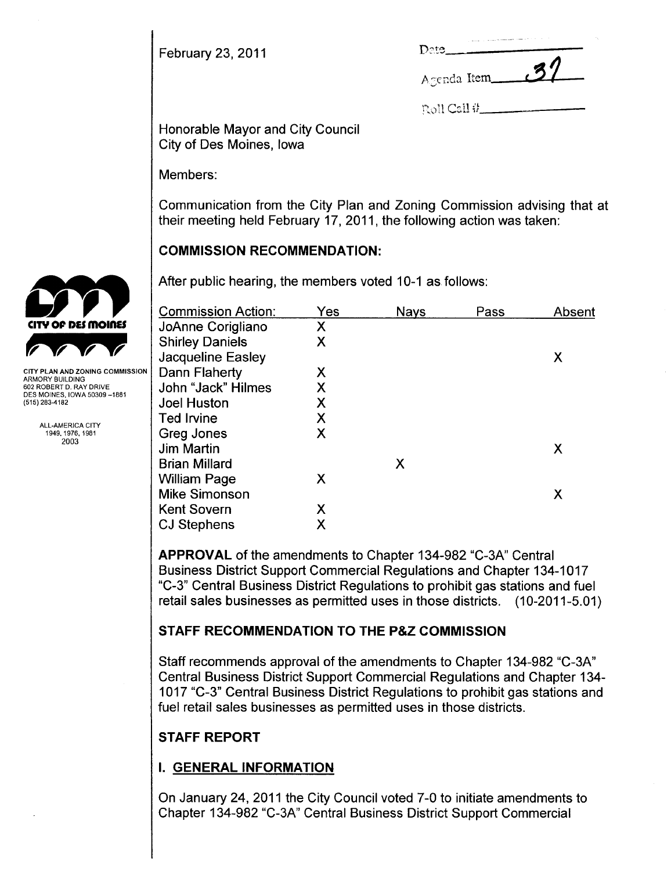February 23, 2011

|             | the company of the company of the company of the company of the company of the company of the company of the company of the company of the company of the company of the company of the company of the company of the company |     |  |  |  |  |  |
|-------------|-------------------------------------------------------------------------------------------------------------------------------------------------------------------------------------------------------------------------------|-----|--|--|--|--|--|
| Dete.       |                                                                                                                                                                                                                               |     |  |  |  |  |  |
|             |                                                                                                                                                                                                                               | .37 |  |  |  |  |  |
| Acenda Item |                                                                                                                                                                                                                               |     |  |  |  |  |  |

Roll Call #

Honorable Mayor and City Council City of Des Moines, Iowa

Members:

Communication from the City Plan and Zoning Commission advising that at their meeting held February 17, 2011, the following action was taken:

### COMMISSION RECOMMENDATION:

After public hearing, the members voted 10-1 as follows:

|                                               | <b>Commission Action:</b>                   | Yes | <b>Nays</b> | Pass | Absent |
|-----------------------------------------------|---------------------------------------------|-----|-------------|------|--------|
| <b>CITY OF DES MOINES</b>                     | JoAnne Corigliano                           | X   |             |      |        |
|                                               | <b>Shirley Daniels</b><br>Jacqueline Easley | Χ   |             |      | Χ      |
| <b>CITY PLAN AND ZONING COMMISSION</b>        | Dann Flaherty                               | Х   |             |      |        |
| ARMORY BUILDING<br>602 ROBERT D. RAY DRIVE    | John "Jack" Hilmes                          | Х   |             |      |        |
| DES MOINES, IOWA 50309-1881<br>(515) 283-4182 | <b>Joel Huston</b>                          | Χ   |             |      |        |
|                                               | <b>Ted Irvine</b>                           |     |             |      |        |
| ALL-AMERICA CITY<br>1949, 1976, 1981          | Greg Jones                                  | X   |             |      |        |
| 2003                                          | <b>Jim Martin</b>                           |     |             |      | Χ      |
|                                               | <b>Brian Millard</b>                        |     | X           |      |        |
|                                               | <b>William Page</b>                         | Χ   |             |      |        |
|                                               | <b>Mike Simonson</b>                        |     |             |      | Χ      |
|                                               | <b>Kent Sovern</b>                          | X   |             |      |        |
|                                               | <b>CJ Stephens</b>                          | Х   |             |      |        |
|                                               |                                             |     |             |      |        |

APPROVAL of the amendments to Chapter 134-982 "C-3A" Central Business District Support Commercial Regulations and Chapter 134-1017 "C-3" Central Business District Regulations to prohibit gas stations and fuel retail sales businesses as permitted uses in those districts. (10-2011-5.01)

# STAFF RECOMMENDATION TO THE P&Z COMMISSION

Staff recommends approval of the amendments to Chapter 134-982 "C-3A" Central Business District Support Commercial Regulations and Chapter 134- 1 017 "C-3" Central Business District Regulations to prohibit gas stations and fuel retail sales businesses as permitted uses in those districts.

# STAFF REPORT

# I. GENERAL INFORMATION

On January 24, 2011 the City Council voted 7-0 to initiate amendments to Chapter 134-982 "C-3A" Central Business District Support Commercial

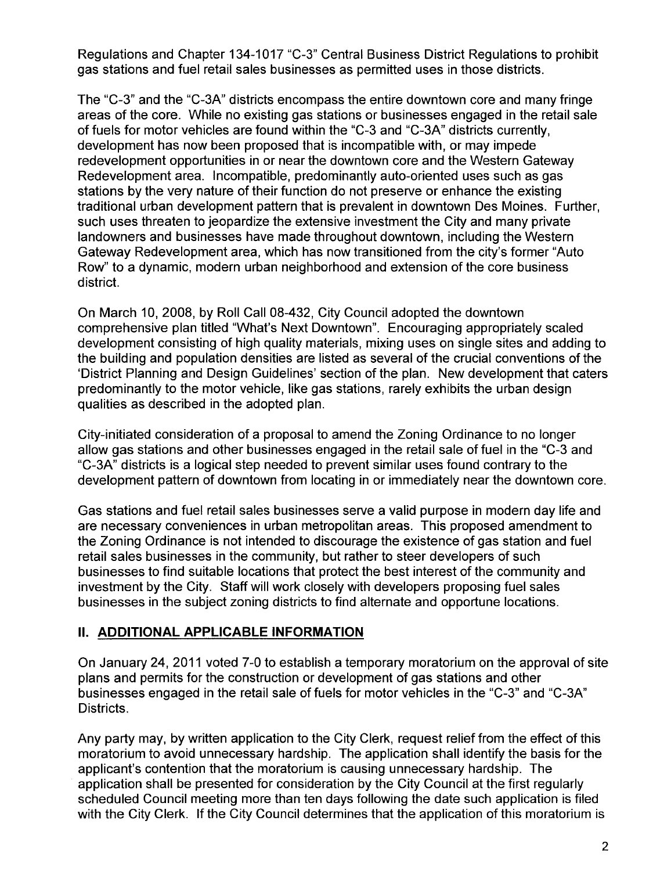Regulations and Chapter 134-1017 "C-3" Central Business District Regulations to prohibit gas stations and fuel retail sales businesses as permitted uses in those districts.

The "C-3" and the "C-3A" districts encompass the entire downtown core and many fringe areas of the core. While no existing gas stations or businesses engaged in the retail sale of fuels for motor vehicles are found within the "C-3 and "C-3A" districts currently, development has now been proposed that is incompatible with, or may impede redevelopment opportunities in or near the downtown core and the Western Gateway Redevelopment area. Incompatible, predominantly auto-oriented uses such as gas stations by the very nature of their function do not preserve or enhance the existing traditional urban development pattern that is prevalent in downtown Des Moines. Further, such uses threaten to jeopardize the extensive investment the City and many private landowners and businesses have made throughout downtown, including the Western Gateway Redevelopment area, which has now transitioned from the city's former "Auto Row" to a dynamic, modern urban neighborhood and extension of the core business district.

On March 10, 2008, by Roll Call 08-432, City Council adopted the downtown comprehensive plan titled "What's Next Downtown". Encouraging appropriately scaled development consisting of high quality materials, mixing uses on single sites and adding to the building and population densities are listed as several of the crucial conventions of the 'District Planning and Design Guidelines' section of the plan. New development that caters predominantly to the motor vehicle, like gas stations, rarely exhibits the urban design qualities as described in the adopted plan.

City-initiated consideration of a proposal to amend the Zoning Ordinance to no longer allow gas stations and other businesses engaged in the retail sale of fuel in the "C-3 and "C-3A" districts is a logical step needed to prevent similar uses found contrary to the development pattern of downtown from locating in or immediately near the downtown core.

Gas stations and fuel retail sales businesses serve a valid purpose in modern day life and are necessary conveniences in urban metropolitan areas. This proposed amendment to the Zoning Ordinance is not intended to discourage the existence of gas station and fuel retail sales businesses in the community, but rather to steer developers of such businesses to find suitable locations that protect the best interest of the community and investment by the City. Staff will work closely with developers proposing fuel sales businesses in the subject zoning districts to find alternate and opportune locations.

### II. ADDITIONAL APPLICABLE INFORMATION

On January 24,2011 voted 7-0 to establish a temporary moratorium on the approval of site plans and permits for the construction or development of gas stations and other businesses engaged in the retail sale of fuels for motor vehicles in the "C-3" and "C-3A" Districts.

Any party may, by written application to the City Clerk, request relief from the effect of this moratorium to avoid unnecessary hardship. The application shall identify the basis for the applicant's contention that the moratorium is causing unnecessary hardship. The application shall be presented for consideration by the City Council at the first regularly scheduled Council meeting more than ten days following the date such application is filed with the City Clerk. If the City Council determines that the application of this moratorium is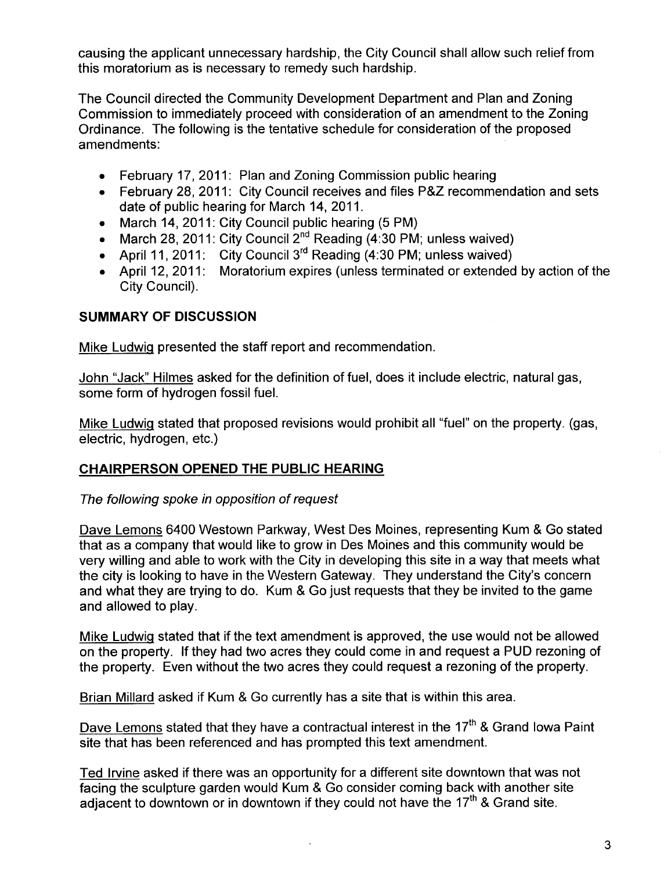causing the applicant unnecessary hardship, the City Council shall allow such relief from this moratorium as is necessary to remedy such hardship.

The Council directed the Community Development Department and Plan and Zoning Commission to immediately proceed with consideration of an amendment to the Zoning Ordinance. The following is the tentative schedule for consideration of the proposed amendments:

- . February 17, 2011: Plan and Zoning Commission public hearing
- . February 28, 2011: City Council receives and files P&Z recommendation and sets date of public hearing for March 14, 2011.
- . March 14,2011: City Council public hearing (5 PM)
- $\bullet$  . March 28, 2011: City Council 2''" Reading (4:30 PM; unless waived)
- $\bullet$   $\,$  April 11, 2011:  $\,$  City Council 3 $^{\text{ra}}$  Reading (4:30 PM; unless waived)
- . April 12, 2011: Moratorium expires (unless terminated or extended by action of the City Council).

### SUMMARY OF DISCUSSION

Mike Ludwiq presented the staff report and recommendation.

John "Jack" Hilmes asked for the definition of fuel, does it include electric, natural gas, some form of hydrogen fossil fueL.

Mike Ludwiq stated that proposed revisions would prohibit all "fuel" on the property. (gas, electric, hydrogen, etc.)

### CHAIRPERSON OPENED THE PUBLIC HEARING

### The following spoke in opposition of request

Dave Lemons 6400 Westown Parkway, West Des Moines, representing Kum & Go stated that as a company that would like to grow in Des Moines and this community would be very willing and able to work with the City in developing this site in a way that meets what the city is looking to have in the Western Gateway. They understand the City's concern and what they are trying to do. Kum & Go just requests that they be invited to the game and allowed to play.

Mike Ludwiq stated that if the text amendment is approved, the use would not be allowed on the property. If they had two acres they could come in and request a PUD rezoning of the property. Even without the two acres they could request a rezoning of the property.

Brian Millard asked if Kum & Go currently has a site that is within this area.

Dave Lemons stated that they have a contractual interest in the  $17<sup>th</sup>$  & Grand Iowa Paint site that has been referenced and has prompted this text amendment.

Ted Irvine asked if there was an opportunity for a different site downtown that was not facing the sculpture garden would Kum & Go consider coming back with another site adjacent to downtown or in downtown if they could not have the  $17<sup>th</sup>$  & Grand site.